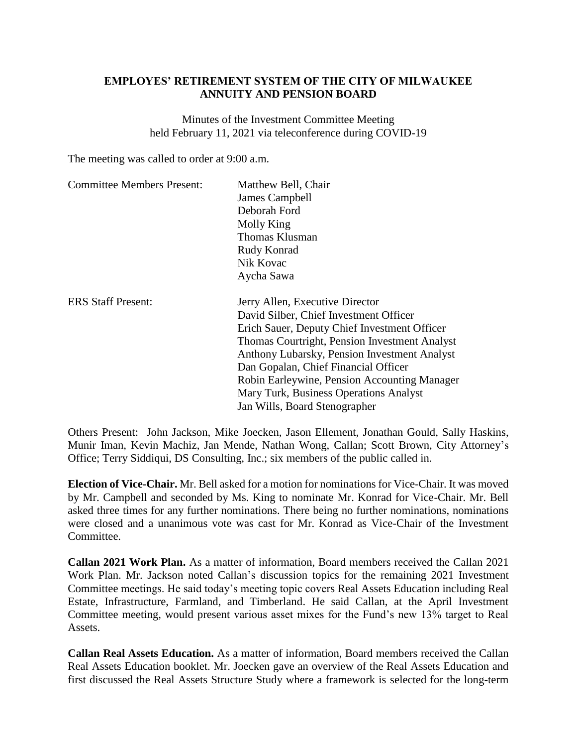## **EMPLOYES' RETIREMENT SYSTEM OF THE CITY OF MILWAUKEE ANNUITY AND PENSION BOARD**

Minutes of the Investment Committee Meeting held February 11, 2021 via teleconference during COVID-19

The meeting was called to order at 9:00 a.m.

| <b>Committee Members Present:</b> | Matthew Bell, Chair<br>James Campbell<br>Deborah Ford<br>Molly King<br><b>Thomas Klusman</b><br>Rudy Konrad<br>Nik Kovac                                                                                                                                                                                                                                                                      |
|-----------------------------------|-----------------------------------------------------------------------------------------------------------------------------------------------------------------------------------------------------------------------------------------------------------------------------------------------------------------------------------------------------------------------------------------------|
|                                   | Aycha Sawa                                                                                                                                                                                                                                                                                                                                                                                    |
| <b>ERS Staff Present:</b>         | Jerry Allen, Executive Director<br>David Silber, Chief Investment Officer<br>Erich Sauer, Deputy Chief Investment Officer<br>Thomas Courtright, Pension Investment Analyst<br>Anthony Lubarsky, Pension Investment Analyst<br>Dan Gopalan, Chief Financial Officer<br>Robin Earleywine, Pension Accounting Manager<br>Mary Turk, Business Operations Analyst<br>Jan Wills, Board Stenographer |

Others Present: John Jackson, Mike Joecken, Jason Ellement, Jonathan Gould, Sally Haskins, Munir Iman, Kevin Machiz, Jan Mende, Nathan Wong, Callan; Scott Brown, City Attorney's Office; Terry Siddiqui, DS Consulting, Inc.; six members of the public called in.

**Election of Vice-Chair.** Mr. Bell asked for a motion for nominations for Vice-Chair. It was moved by Mr. Campbell and seconded by Ms. King to nominate Mr. Konrad for Vice-Chair. Mr. Bell asked three times for any further nominations. There being no further nominations, nominations were closed and a unanimous vote was cast for Mr. Konrad as Vice-Chair of the Investment Committee.

**Callan 2021 Work Plan.** As a matter of information, Board members received the Callan 2021 Work Plan. Mr. Jackson noted Callan's discussion topics for the remaining 2021 Investment Committee meetings. He said today's meeting topic covers Real Assets Education including Real Estate, Infrastructure, Farmland, and Timberland. He said Callan, at the April Investment Committee meeting, would present various asset mixes for the Fund's new 13% target to Real Assets.

**Callan Real Assets Education.** As a matter of information, Board members received the Callan Real Assets Education booklet. Mr. Joecken gave an overview of the Real Assets Education and first discussed the Real Assets Structure Study where a framework is selected for the long-term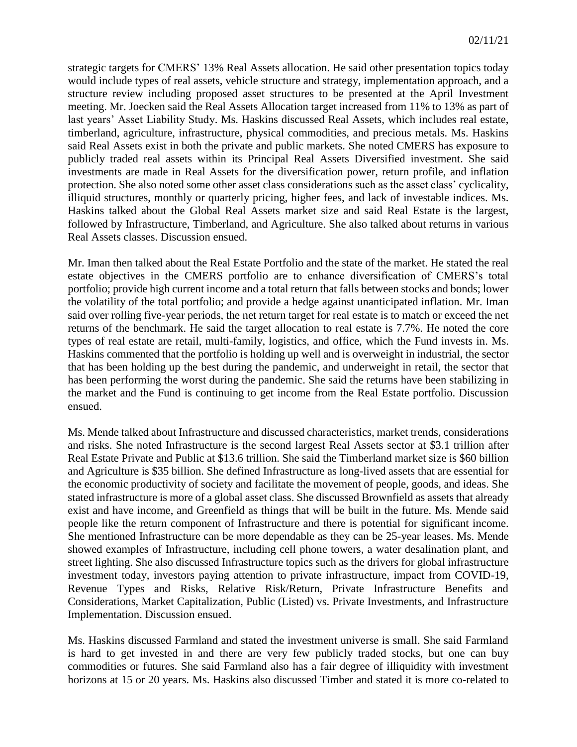strategic targets for CMERS' 13% Real Assets allocation. He said other presentation topics today would include types of real assets, vehicle structure and strategy, implementation approach, and a structure review including proposed asset structures to be presented at the April Investment meeting. Mr. Joecken said the Real Assets Allocation target increased from 11% to 13% as part of last years' Asset Liability Study. Ms. Haskins discussed Real Assets, which includes real estate, timberland, agriculture, infrastructure, physical commodities, and precious metals. Ms. Haskins said Real Assets exist in both the private and public markets. She noted CMERS has exposure to publicly traded real assets within its Principal Real Assets Diversified investment. She said investments are made in Real Assets for the diversification power, return profile, and inflation protection. She also noted some other asset class considerations such as the asset class' cyclicality, illiquid structures, monthly or quarterly pricing, higher fees, and lack of investable indices. Ms. Haskins talked about the Global Real Assets market size and said Real Estate is the largest, followed by Infrastructure, Timberland, and Agriculture. She also talked about returns in various Real Assets classes. Discussion ensued.

Mr. Iman then talked about the Real Estate Portfolio and the state of the market. He stated the real estate objectives in the CMERS portfolio are to enhance diversification of CMERS's total portfolio; provide high current income and a total return that falls between stocks and bonds; lower the volatility of the total portfolio; and provide a hedge against unanticipated inflation. Mr. Iman said over rolling five-year periods, the net return target for real estate is to match or exceed the net returns of the benchmark. He said the target allocation to real estate is 7.7%. He noted the core types of real estate are retail, multi-family, logistics, and office, which the Fund invests in. Ms. Haskins commented that the portfolio is holding up well and is overweight in industrial, the sector that has been holding up the best during the pandemic, and underweight in retail, the sector that has been performing the worst during the pandemic. She said the returns have been stabilizing in the market and the Fund is continuing to get income from the Real Estate portfolio. Discussion ensued.

Ms. Mende talked about Infrastructure and discussed characteristics, market trends, considerations and risks. She noted Infrastructure is the second largest Real Assets sector at \$3.1 trillion after Real Estate Private and Public at \$13.6 trillion. She said the Timberland market size is \$60 billion and Agriculture is \$35 billion. She defined Infrastructure as long-lived assets that are essential for the economic productivity of society and facilitate the movement of people, goods, and ideas. She stated infrastructure is more of a global asset class. She discussed Brownfield as assets that already exist and have income, and Greenfield as things that will be built in the future. Ms. Mende said people like the return component of Infrastructure and there is potential for significant income. She mentioned Infrastructure can be more dependable as they can be 25-year leases. Ms. Mende showed examples of Infrastructure, including cell phone towers, a water desalination plant, and street lighting. She also discussed Infrastructure topics such as the drivers for global infrastructure investment today, investors paying attention to private infrastructure, impact from COVID-19, Revenue Types and Risks, Relative Risk/Return, Private Infrastructure Benefits and Considerations, Market Capitalization, Public (Listed) vs. Private Investments, and Infrastructure Implementation. Discussion ensued.

Ms. Haskins discussed Farmland and stated the investment universe is small. She said Farmland is hard to get invested in and there are very few publicly traded stocks, but one can buy commodities or futures. She said Farmland also has a fair degree of illiquidity with investment horizons at 15 or 20 years. Ms. Haskins also discussed Timber and stated it is more co-related to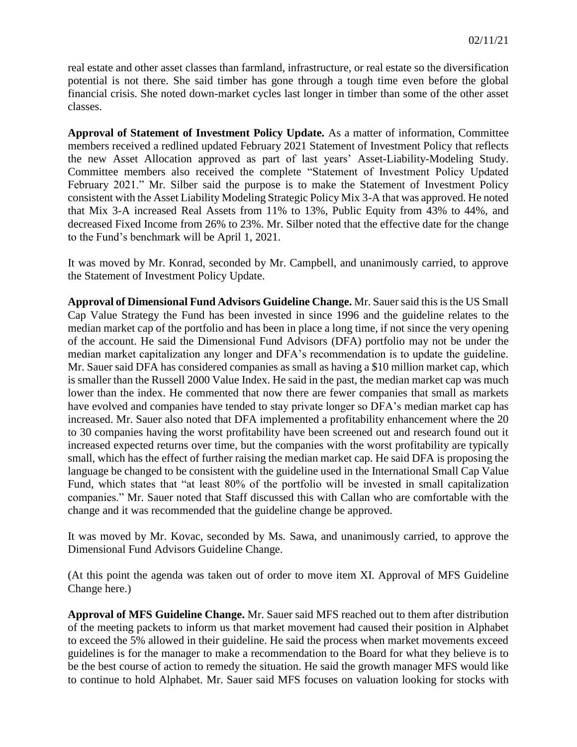real estate and other asset classes than farmland, infrastructure, or real estate so the diversification potential is not there. She said timber has gone through a tough time even before the global financial crisis. She noted down-market cycles last longer in timber than some of the other asset classes.

**Approval of Statement of Investment Policy Update.** As a matter of information, Committee members received a redlined updated February 2021 Statement of Investment Policy that reflects the new Asset Allocation approved as part of last years' Asset-Liability-Modeling Study. Committee members also received the complete "Statement of Investment Policy Updated February 2021." Mr. Silber said the purpose is to make the Statement of Investment Policy consistent with the Asset Liability Modeling Strategic Policy Mix 3-A that was approved. He noted that Mix 3-A increased Real Assets from 11% to 13%, Public Equity from 43% to 44%, and decreased Fixed Income from 26% to 23%. Mr. Silber noted that the effective date for the change to the Fund's benchmark will be April 1, 2021.

It was moved by Mr. Konrad, seconded by Mr. Campbell, and unanimously carried, to approve the Statement of Investment Policy Update.

**Approval of Dimensional Fund Advisors Guideline Change.** Mr. Sauer said this is the US Small Cap Value Strategy the Fund has been invested in since 1996 and the guideline relates to the median market cap of the portfolio and has been in place a long time, if not since the very opening of the account. He said the Dimensional Fund Advisors (DFA) portfolio may not be under the median market capitalization any longer and DFA's recommendation is to update the guideline. Mr. Sauer said DFA has considered companies as small as having a \$10 million market cap, which is smaller than the Russell 2000 Value Index. He said in the past, the median market cap was much lower than the index. He commented that now there are fewer companies that small as markets have evolved and companies have tended to stay private longer so DFA's median market cap has increased. Mr. Sauer also noted that DFA implemented a profitability enhancement where the 20 to 30 companies having the worst profitability have been screened out and research found out it increased expected returns over time, but the companies with the worst profitability are typically small, which has the effect of further raising the median market cap. He said DFA is proposing the language be changed to be consistent with the guideline used in the International Small Cap Value Fund, which states that "at least 80% of the portfolio will be invested in small capitalization companies." Mr. Sauer noted that Staff discussed this with Callan who are comfortable with the change and it was recommended that the guideline change be approved.

It was moved by Mr. Kovac, seconded by Ms. Sawa, and unanimously carried, to approve the Dimensional Fund Advisors Guideline Change.

(At this point the agenda was taken out of order to move item XI. Approval of MFS Guideline Change here.)

**Approval of MFS Guideline Change.** Mr. Sauer said MFS reached out to them after distribution of the meeting packets to inform us that market movement had caused their position in Alphabet to exceed the 5% allowed in their guideline. He said the process when market movements exceed guidelines is for the manager to make a recommendation to the Board for what they believe is to be the best course of action to remedy the situation. He said the growth manager MFS would like to continue to hold Alphabet. Mr. Sauer said MFS focuses on valuation looking for stocks with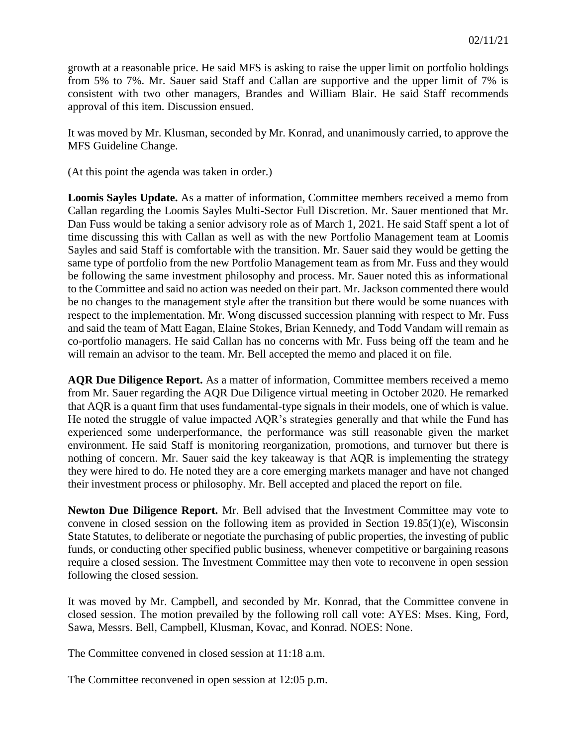growth at a reasonable price. He said MFS is asking to raise the upper limit on portfolio holdings from 5% to 7%. Mr. Sauer said Staff and Callan are supportive and the upper limit of 7% is consistent with two other managers, Brandes and William Blair. He said Staff recommends approval of this item. Discussion ensued.

It was moved by Mr. Klusman, seconded by Mr. Konrad, and unanimously carried, to approve the MFS Guideline Change.

(At this point the agenda was taken in order.)

**Loomis Sayles Update.** As a matter of information, Committee members received a memo from Callan regarding the Loomis Sayles Multi-Sector Full Discretion. Mr. Sauer mentioned that Mr. Dan Fuss would be taking a senior advisory role as of March 1, 2021. He said Staff spent a lot of time discussing this with Callan as well as with the new Portfolio Management team at Loomis Sayles and said Staff is comfortable with the transition. Mr. Sauer said they would be getting the same type of portfolio from the new Portfolio Management team as from Mr. Fuss and they would be following the same investment philosophy and process. Mr. Sauer noted this as informational to the Committee and said no action was needed on their part. Mr. Jackson commented there would be no changes to the management style after the transition but there would be some nuances with respect to the implementation. Mr. Wong discussed succession planning with respect to Mr. Fuss and said the team of Matt Eagan, Elaine Stokes, Brian Kennedy, and Todd Vandam will remain as co-portfolio managers. He said Callan has no concerns with Mr. Fuss being off the team and he will remain an advisor to the team. Mr. Bell accepted the memo and placed it on file.

**AQR Due Diligence Report.** As a matter of information, Committee members received a memo from Mr. Sauer regarding the AQR Due Diligence virtual meeting in October 2020. He remarked that AQR is a quant firm that uses fundamental-type signals in their models, one of which is value. He noted the struggle of value impacted AQR's strategies generally and that while the Fund has experienced some underperformance, the performance was still reasonable given the market environment. He said Staff is monitoring reorganization, promotions, and turnover but there is nothing of concern. Mr. Sauer said the key takeaway is that AQR is implementing the strategy they were hired to do. He noted they are a core emerging markets manager and have not changed their investment process or philosophy. Mr. Bell accepted and placed the report on file.

**Newton Due Diligence Report.** Mr. Bell advised that the Investment Committee may vote to convene in closed session on the following item as provided in Section 19.85(1)(e), Wisconsin State Statutes, to deliberate or negotiate the purchasing of public properties, the investing of public funds, or conducting other specified public business, whenever competitive or bargaining reasons require a closed session. The Investment Committee may then vote to reconvene in open session following the closed session.

It was moved by Mr. Campbell, and seconded by Mr. Konrad, that the Committee convene in closed session. The motion prevailed by the following roll call vote: AYES: Mses. King, Ford, Sawa, Messrs. Bell, Campbell, Klusman, Kovac, and Konrad. NOES: None.

The Committee convened in closed session at 11:18 a.m.

The Committee reconvened in open session at 12:05 p.m.